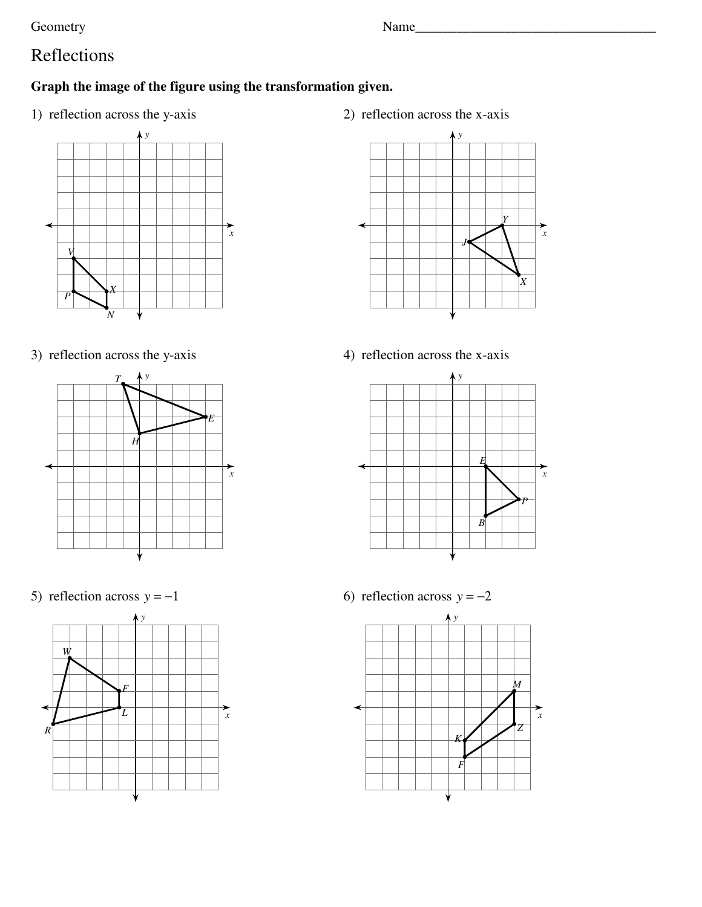Geometry

Name

# Reflections

## Graph the image of the figure using the transformation given.

1) reflection across the y-axis



3) reflection across the y-axis



5) reflection across  $y = -1$ 



2) reflection across the x-axis



4) reflection across the x-axis



6) reflection across  $y = -2$ 

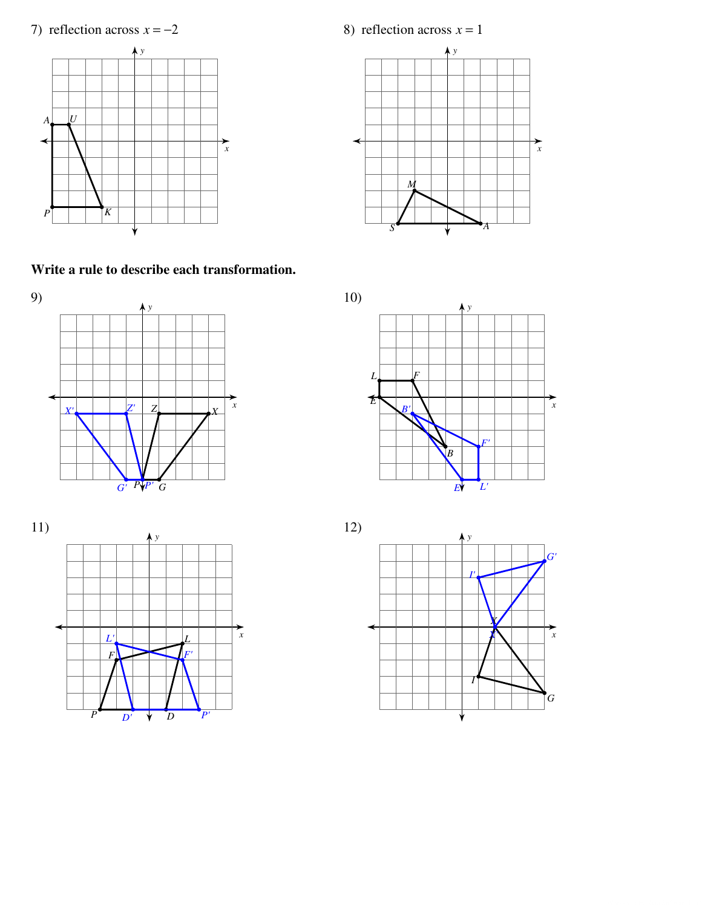7) reflection across  $x = -2$ 



Write a rule to describe each transformation.





8) reflection across  $x = 1$ 



 $10)$  $\bigwedge$  y  $\boldsymbol{I}$  $\mathcal{E}$  $\overrightarrow{x}$  $\left[\right]$  $L'$  $E^{\prime}$ 



 $12)$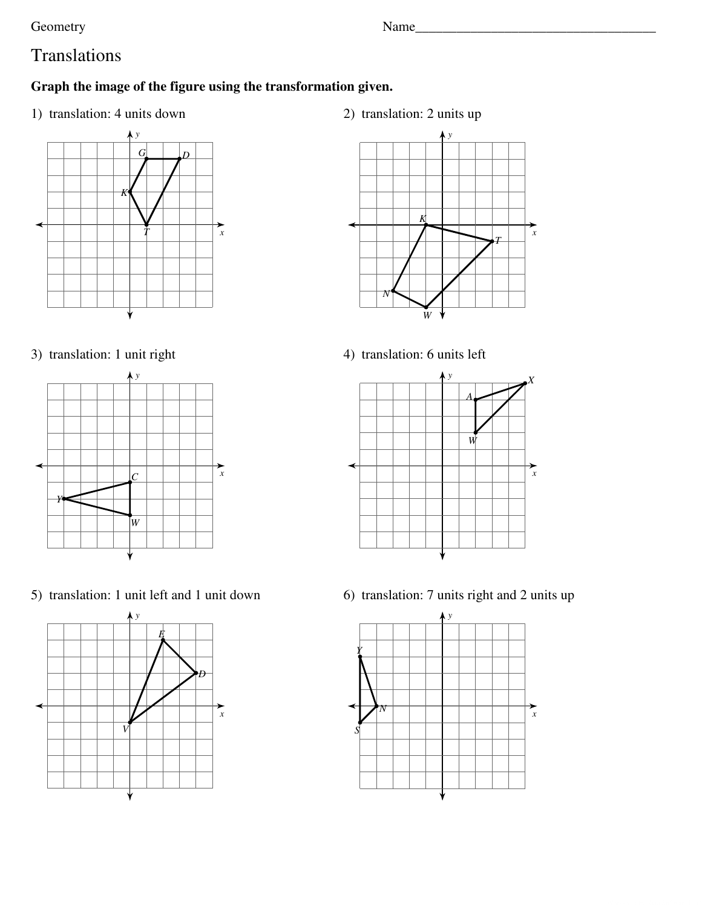Geometry Name\_\_\_\_\_\_\_\_\_\_\_\_\_\_\_\_\_\_\_\_\_\_\_\_\_\_\_\_\_\_\_\_\_\_\_

# Translations

## **Graph the image of the figure using the transformation given.**

1) translation: 4 units down



## 3) translation: 1 unit right



5) translation: 1 unit left and 1 unit down



2) translation: 2 units up



4) translation: 6 units left



6) translation: 7 units right and 2 units up

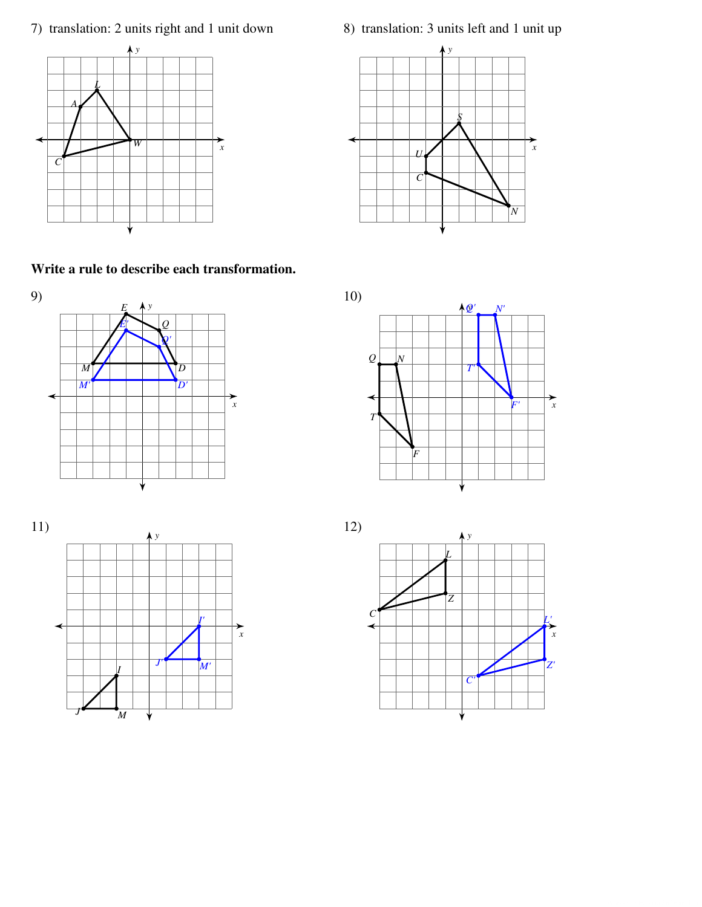7) translation: 2 units right and 1 unit down



Write a rule to describe each transformation.





8) translation: 3 units left and 1 unit up





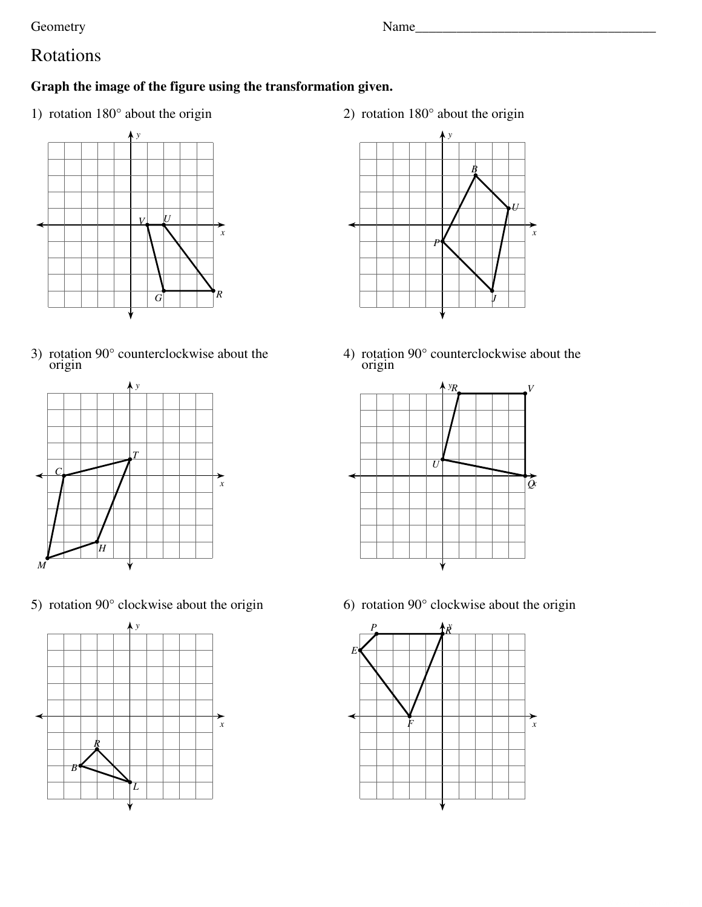Geometry

# Rotations

## Graph the image of the figure using the transformation given.

1) rotation 180° about the origin



3) rotation  $90^{\circ}$  counterclockwise about the origin



5) rotation  $90^\circ$  clockwise about the origin



2) rotation  $180^\circ$  about the origin



4) rotation  $90^{\circ}$  counterclockwise about the origin



6) rotation  $90^\circ$  clockwise about the origin

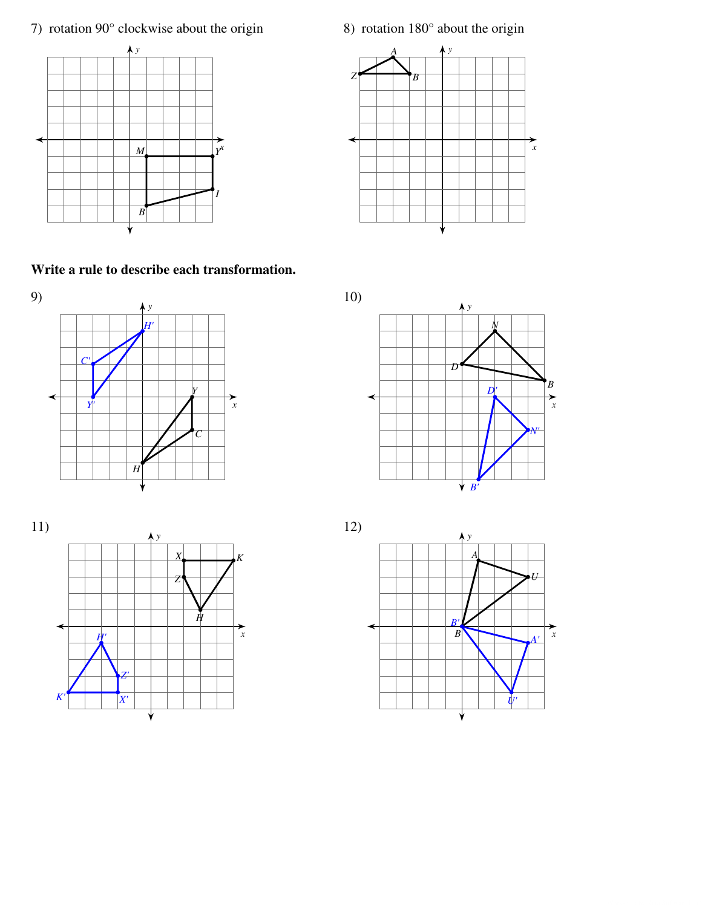7) rotation  $90^\circ$  clockwise about the origin



Write a rule to describe each transformation.





 $10)$  $\overline{D}$  $\begin{array}{c} B \\ B \\ \rightarrow \\ x \end{array}$  $D^{\prime}$ 



 $\forall B$ 

8) rotation  $180^\circ$  about the origin

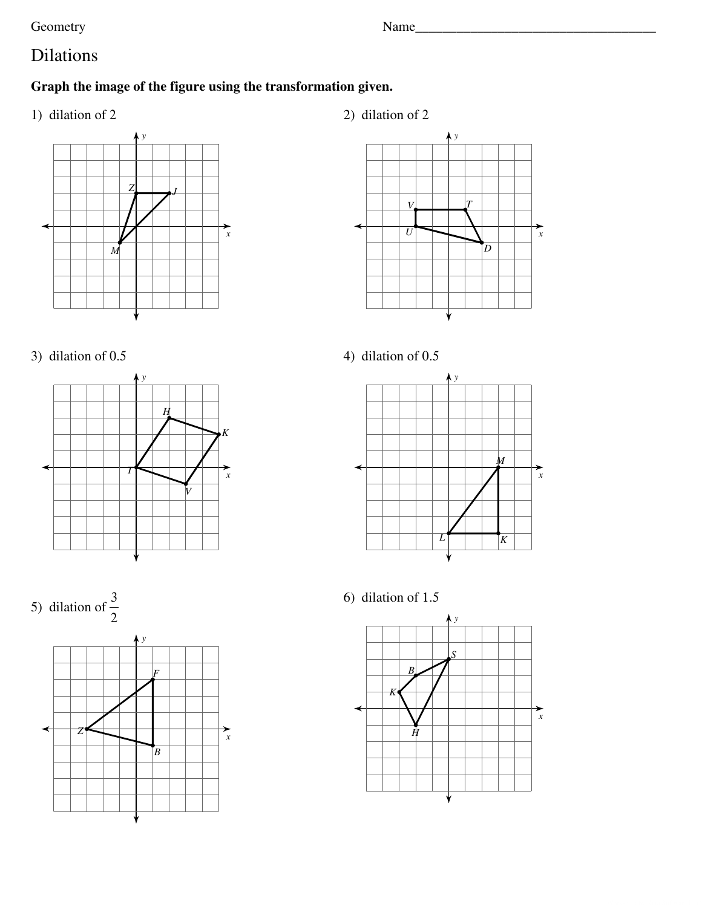Geometry

# Dilations

# Graph the image of the figure using the transformation given.

1) dilation of 2

2) dilation of 2

















6) dilation of 1.5

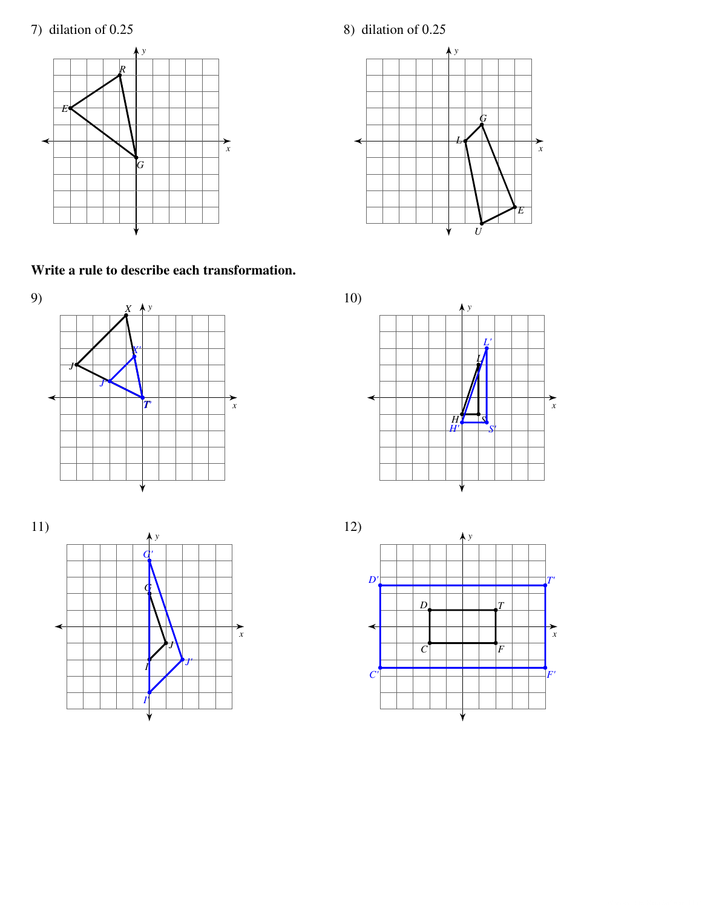## 7) dilation of 0.25



8) dilation of 0.25  $\bigwedge$ 



Write a rule to describe each transformation.









 $10)$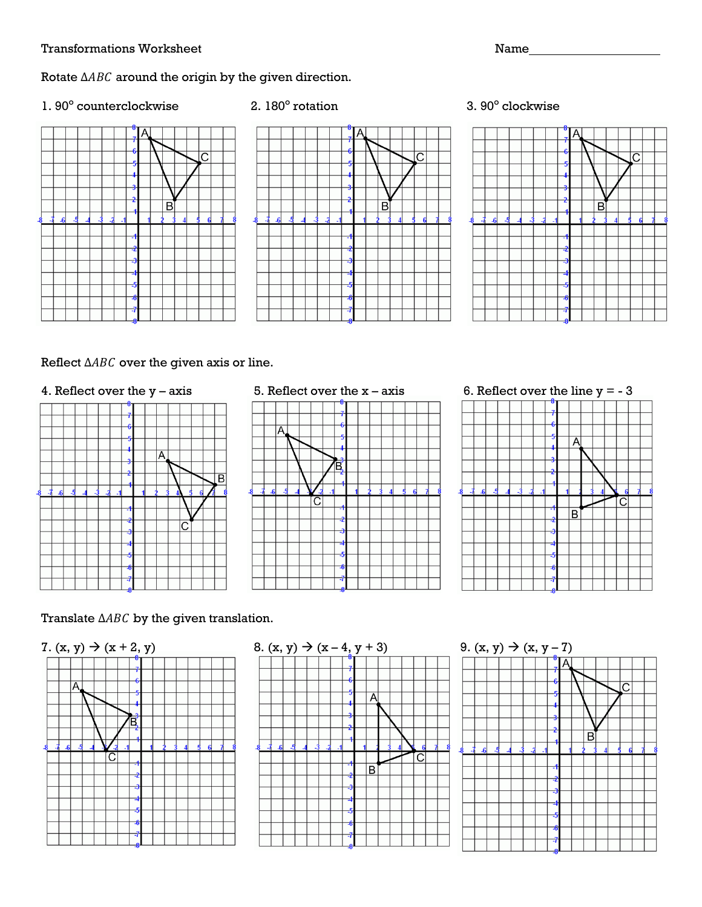#### Rotate  $\triangle ABC$  around the origin by the given direction.

1. 90° counterclockwise 2. 180°





2.  $180^\circ$  rotation

#### 3.  $90^\circ$  clockwise



### Reflect  $\triangle ABC$  over the given axis or line.





4. Reflect over the y – axis 5. Reflect over the x – axis 6. Reflect over the line y = - 3



### Translate  $\triangle ABC$  by the given translation.